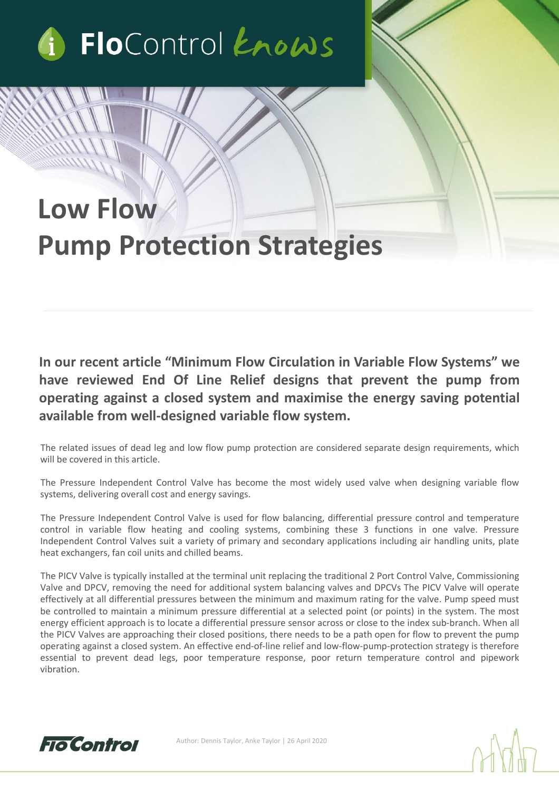

# **Low Flow Pump Protection Strategies**

**In our recent article "Minimum Flow Circulation in Variable Flow Systems" we have reviewed End Of Line Relief designs that prevent the pump from operating against a closed system and maximise the energy saving potential available from well-designed variable flow system.**

The related issues of dead leg and low flow pump protection are considered separate design requirements, which will be covered in this article.

The Pressure Independent Control Valve has become the most widely used valve when designing variable flow systems, delivering overall cost and energy savings.

The Pressure Independent Control Valve is used for flow balancing, differential pressure control and temperature control in variable flow heating and cooling systems, combining these 3 functions in one valve. Pressure Independent Control Valves suit a variety of primary and secondary applications including air handling units, plate heat exchangers, fan coil units and chilled beams.

The PICV Valve is typically installed at the terminal unit replacing the traditional 2 Port Control Valve, Commissioning Valve and DPCV, removing the need for additional system balancing valves and DPCVs The PICV Valve will operate effectively at all differential pressures between the minimum and maximum rating for the valve. Pump speed must be controlled to maintain a minimum pressure differential at a selected point (or points) in the system. The most energy efficient approach is to locate a differential pressure sensor across or close to the index sub-branch. When all the PICV Valves are approaching their closed positions, there needs to be a path open for flow to prevent the pump operating against a closed system. An effective end-of-line relief and low-flow-pump-protection strategy is therefore essential to prevent dead legs, poor temperature response, poor return temperature control and pipework vibration.



Author: Dennis Taylor, Anke Taylor | 26 April 2020

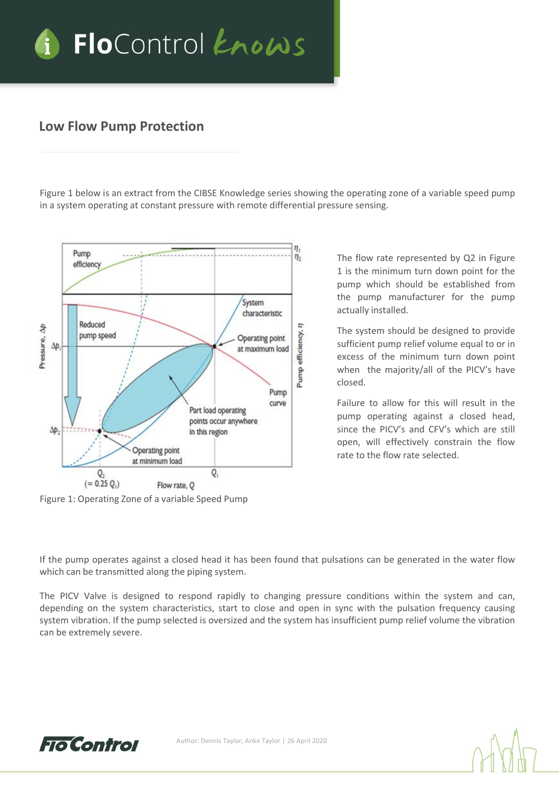

#### **Low Flow Pump Protection**

Figure 1 below is an extract from the CIBSE Knowledge series showing the operating zone of a variable speed pump in a system operating at constant pressure with remote differential pressure sensing.



Figure 1: Operating Zone of a variable Speed Pump

The flow rate represented by Q2 in Figure 1 is the minimum turn down point for the pump which should be established from the pump manufacturer for the pump actually installed.

The system should be designed to provide sufficient pump relief volume equal to or in excess of the minimum turn down point when the majority/all of the PICV's have closed.

Failure to allow for this will result in the pump operating against a closed head, since the PICV's and CFV's which are still open, will effectively constrain the flow rate to the flow rate selected.

If the pump operates against a closed head it has been found that pulsations can be generated in the water flow which can be transmitted along the piping system.

The PICV Valve is designed to respond rapidly to changing pressure conditions within the system and can, depending on the system characteristics, start to close and open in sync with the pulsation frequency causing system vibration. If the pump selected is oversized and the system has insufficient pump relief volume the vibration can be extremely severe.

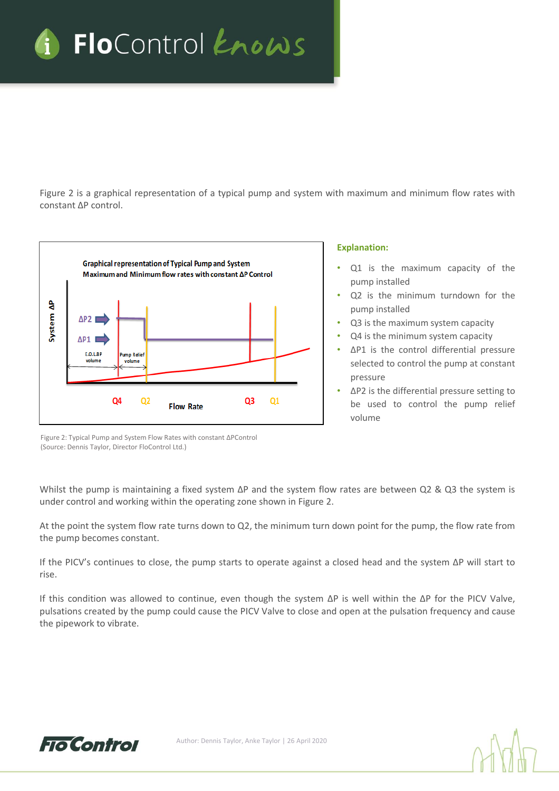

Figure 2 is a graphical representation of a typical pump and system with maximum and minimum flow rates with constant ∆P control.



#### **Explanation:**

- Q1 is the maximum capacity of the pump installed
- Q2 is the minimum turndown for the pump installed
- Q3 is the maximum system capacity
- Q4 is the minimum system capacity
- ΔP1 is the control differential pressure selected to control the pump at constant pressure
- ΔP2 is the differential pressure setting to be used to control the pump relief volume

Figure 2: Typical Pump and System Flow Rates with constant ΔPControl (Source: Dennis Taylor, Director FloControl Ltd.)

Whilst the pump is maintaining a fixed system ΔP and the system flow rates are between Q2 & Q3 the system is under control and working within the operating zone shown in Figure 2.

At the point the system flow rate turns down to Q2, the minimum turn down point for the pump, the flow rate from the pump becomes constant.

If the PICV's continues to close, the pump starts to operate against a closed head and the system ΔP will start to rise.

If this condition was allowed to continue, even though the system ΔP is well within the ΔP for the PICV Valve, pulsations created by the pump could cause the PICV Valve to close and open at the pulsation frequency and cause the pipework to vibrate.

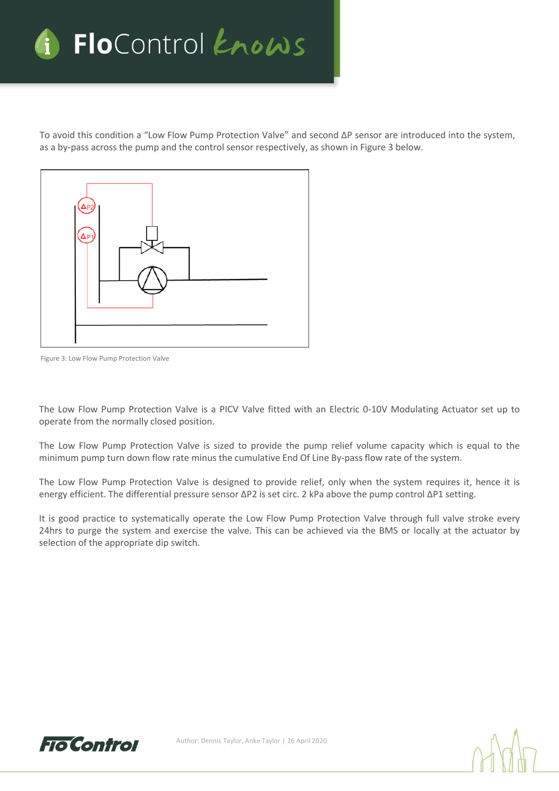

To avoid this condition a "Low Flow Pump Protection Valve" and second ΔP sensor are introduced into the system, as a by-pass across the pump and the control sensor respectively, as shown in Figure 3 below.



Figure 3: Low Flow Pump Protection Valve

The Low Flow Pump Protection Valve is a PICV Valve fitted with an Electric 0-10V Modulating Actuator set up to operate from the normally closed position.

The Low Flow Pump Protection Valve is sized to provide the pump relief volume capacity which is equal to the minimum pump turn down flow rate minus the cumulative End Of Line By-pass flow rate of the system.

The Low Flow Pump Protection Valve is designed to provide relief, only when the system requires it, hence it is energy efficient. The differential pressure sensor ΔP2 is set circ. 2 kPa above the pump control ΔP1 setting.

It is good practice to systematically operate the Low Flow Pump Protection Valve through full valve stroke every 24hrs to purge the system and exercise the valve. This can be achieved via the BMS or locally at the actuator by selection of the appropriate dip switch.